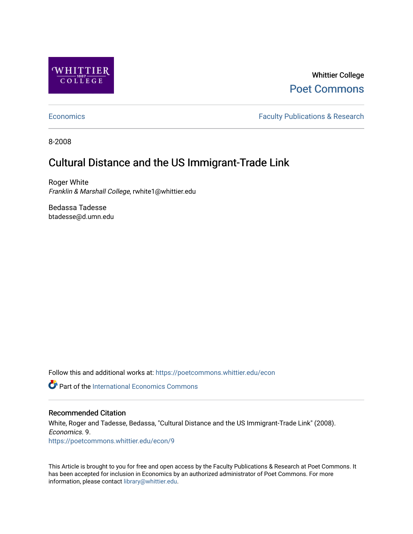

## Whittier College [Poet Commons](https://poetcommons.whittier.edu/)

[Economics](https://poetcommons.whittier.edu/econ) **Faculty Publications & Research** 

8-2008

# Cultural Distance and the US Immigrant-Trade Link

Roger White Franklin & Marshall College, rwhite1@whittier.edu

Bedassa Tadesse btadesse@d.umn.edu

Follow this and additional works at: [https://poetcommons.whittier.edu/econ](https://poetcommons.whittier.edu/econ?utm_source=poetcommons.whittier.edu%2Fecon%2F9&utm_medium=PDF&utm_campaign=PDFCoverPages)

**C** Part of the International Economics Commons

### Recommended Citation

White, Roger and Tadesse, Bedassa, "Cultural Distance and the US Immigrant-Trade Link" (2008). Economics. 9. [https://poetcommons.whittier.edu/econ/9](https://poetcommons.whittier.edu/econ/9?utm_source=poetcommons.whittier.edu%2Fecon%2F9&utm_medium=PDF&utm_campaign=PDFCoverPages) 

This Article is brought to you for free and open access by the Faculty Publications & Research at Poet Commons. It has been accepted for inclusion in Economics by an authorized administrator of Poet Commons. For more information, please contact [library@whittier.edu.](mailto:library@whittier.edu)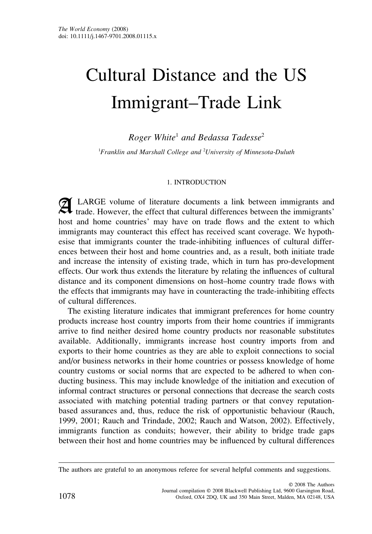# Cultural Distance and the US Immigrant–Trade Link

*Roger White*<sup>1</sup>  *and Bedassa Tadesse*<sup>2</sup>

1 *Franklin and Marshall College and* <sup>2</sup> *University of Minnesota-Duluth*

#### 1. INTRODUCTION

A LARGE volume of literature documents a link between immigrants and trade. However, the effect that cultural differences between the immigrants' host and home countries' may have on trade flows and the extent to which immigrants may counteract this effect has received scant coverage. We hypothesise that immigrants counter the trade-inhibiting influences of cultural differences between their host and home countries and, as a result, both initiate trade and increase the intensity of existing trade, which in turn has pro-development effects. Our work thus extends the literature by relating the influences of cultural distance and its component dimensions on host–home country trade flows with the effects that immigrants may have in counteracting the trade-inhibiting effects of cultural differences.

The existing literature indicates that immigrant preferences for home country products increase host country imports from their home countries if immigrants arrive to find neither desired home country products nor reasonable substitutes available. Additionally, immigrants increase host country imports from and exports to their home countries as they are able to exploit connections to social and/or business networks in their home countries or possess knowledge of home country customs or social norms that are expected to be adhered to when conducting business. This may include knowledge of the initiation and execution of informal contract structures or personal connections that decrease the search costs associated with matching potential trading partners or that convey reputationbased assurances and, thus, reduce the risk of opportunistic behaviour (Rauch, 1999, 2001; Rauch and Trindade, 2002; Rauch and Watson, 2002). Effectively, immigrants function as conduits; however, their ability to bridge trade gaps between their host and home countries may be influenced by cultural differences

The authors are grateful to an anonymous referee for several helpful comments and suggestions.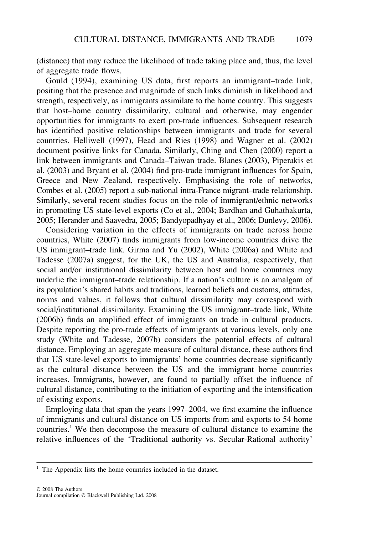(distance) that may reduce the likelihood of trade taking place and, thus, the level of aggregate trade flows.

Gould (1994), examining US data, first reports an immigrant–trade link, positing that the presence and magnitude of such links diminish in likelihood and strength, respectively, as immigrants assimilate to the home country. This suggests that host–home country dissimilarity, cultural and otherwise, may engender opportunities for immigrants to exert pro-trade influences. Subsequent research has identified positive relationships between immigrants and trade for several countries. Helliwell (1997), Head and Ries (1998) and Wagner et al. (2002) document positive links for Canada. Similarly, Ching and Chen (2000) report a link between immigrants and Canada–Taiwan trade. Blanes (2003), Piperakis et al. (2003) and Bryant et al. (2004) find pro-trade immigrant influences for Spain, Greece and New Zealand, respectively. Emphasising the role of networks, Combes et al. (2005) report a sub-national intra-France migrant–trade relationship. Similarly, several recent studies focus on the role of immigrant/ethnic networks in promoting US state-level exports (Co et al., 2004; Bardhan and Guhathakurta, 2005; Herander and Saavedra, 2005; Bandyopadhyay et al., 2006; Dunlevy, 2006).

Considering variation in the effects of immigrants on trade across home countries, White (2007) finds immigrants from low-income countries drive the US immigrant–trade link. Girma and Yu (2002), White (2006a) and White and Tadesse (2007a) suggest, for the UK, the US and Australia, respectively, that social and/or institutional dissimilarity between host and home countries may underlie the immigrant–trade relationship. If a nation's culture is an amalgam of its population's shared habits and traditions, learned beliefs and customs, attitudes, norms and values, it follows that cultural dissimilarity may correspond with social/institutional dissimilarity. Examining the US immigrant–trade link, White (2006b) finds an amplified effect of immigrants on trade in cultural products. Despite reporting the pro-trade effects of immigrants at various levels, only one study (White and Tadesse, 2007b) considers the potential effects of cultural distance. Employing an aggregate measure of cultural distance, these authors find that US state-level exports to immigrants' home countries decrease significantly as the cultural distance between the US and the immigrant home countries increases. Immigrants, however, are found to partially offset the influence of cultural distance, contributing to the initiation of exporting and the intensification of existing exports.

Employing data that span the years 1997–2004, we first examine the influence of immigrants and cultural distance on US imports from and exports to 54 home countries.<sup>1</sup> We then decompose the measure of cultural distance to examine the relative influences of the 'Traditional authority vs. Secular-Rational authority'

 $<sup>1</sup>$  The Appendix lists the home countries included in the dataset.</sup>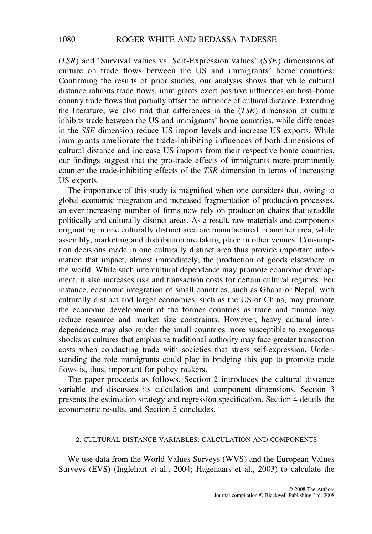(*TSR*) and 'Survival values vs. Self-Expression values' (*SSE*) dimensions of culture on trade flows between the US and immigrants' home countries. Confirming the results of prior studies, our analysis shows that while cultural distance inhibits trade flows, immigrants exert positive influences on host–home country trade flows that partially offset the influence of cultural distance. Extending the literature, we also find that differences in the (*TSR*) dimension of culture inhibits trade between the US and immigrants' home countries, while differences in the *SSE* dimension reduce US import levels and increase US exports. While immigrants ameliorate the trade-inhibiting influences of both dimensions of cultural distance and increase US imports from their respective home countries, our findings suggest that the pro-trade effects of immigrants more prominently counter the trade-inhibiting effects of the *TSR* dimension in terms of increasing US exports.

The importance of this study is magnified when one considers that, owing to global economic integration and increased fragmentation of production processes, an ever-increasing number of firms now rely on production chains that straddle politically and culturally distinct areas. As a result, raw materials and components originating in one culturally distinct area are manufactured in another area, while assembly, marketing and distribution are taking place in other venues. Consumption decisions made in one culturally distinct area thus provide important information that impact, almost immediately, the production of goods elsewhere in the world. While such intercultural dependence may promote economic development, it also increases risk and transaction costs for certain cultural regimes. For instance, economic integration of small countries, such as Ghana or Nepal, with culturally distinct and larger economies, such as the US or China, may promote the economic development of the former countries as trade and finance may reduce resource and market size constraints. However, heavy cultural interdependence may also render the small countries more susceptible to exogenous shocks as cultures that emphasise traditional authority may face greater transaction costs when conducting trade with societies that stress self-expression. Understanding the role immigrants could play in bridging this gap to promote trade flows is, thus, important for policy makers.

The paper proceeds as follows. Section 2 introduces the cultural distance variable and discusses its calculation and component dimensions. Section 3 presents the estimation strategy and regression specification. Section 4 details the econometric results, and Section 5 concludes.

#### 2. CULTURAL DISTANCE VARIABLES: CALCULATION AND COMPONENTS

We use data from the World Values Surveys (WVS) and the European Values Surveys (EVS) (Inglehart et al., 2004; Hagenaars et al., 2003) to calculate the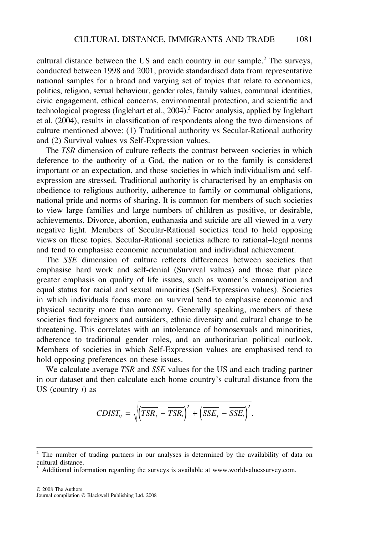cultural distance between the US and each country in our sample.<sup>2</sup> The surveys, conducted between 1998 and 2001, provide standardised data from representative national samples for a broad and varying set of topics that relate to economics, politics, religion, sexual behaviour, gender roles, family values, communal identities, civic engagement, ethical concerns, environmental protection, and scientific and technological progress (Inglehart et al., 2004).<sup>3</sup> Factor analysis, applied by Inglehart et al. (2004), results in classification of respondents along the two dimensions of culture mentioned above: (1) Traditional authority vs Secular-Rational authority and (2) Survival values vs Self-Expression values.

The *TSR* dimension of culture reflects the contrast between societies in which deference to the authority of a God, the nation or to the family is considered important or an expectation, and those societies in which individualism and selfexpression are stressed. Traditional authority is characterised by an emphasis on obedience to religious authority, adherence to family or communal obligations, national pride and norms of sharing. It is common for members of such societies to view large families and large numbers of children as positive, or desirable, achievements. Divorce, abortion, euthanasia and suicide are all viewed in a very negative light. Members of Secular-Rational societies tend to hold opposing views on these topics. Secular-Rational societies adhere to rational–legal norms and tend to emphasise economic accumulation and individual achievement.

The *SSE* dimension of culture reflects differences between societies that emphasise hard work and self-denial (Survival values) and those that place greater emphasis on quality of life issues, such as women's emancipation and equal status for racial and sexual minorities (Self-Expression values). Societies in which individuals focus more on survival tend to emphasise economic and physical security more than autonomy. Generally speaking, members of these societies find foreigners and outsiders, ethnic diversity and cultural change to be threatening. This correlates with an intolerance of homosexuals and minorities, adherence to traditional gender roles, and an authoritarian political outlook. Members of societies in which Self-Expression values are emphasised tend to hold opposing preferences on these issues.

We calculate average *TSR* and *SSE* values for the US and each trading partner in our dataset and then calculate each home country's cultural distance from the US (country *i*) as

$$
CDIST_{ij} = \sqrt{\left(TSR_j - \overline{TSR_i}\right)^2 + \left(SSE_j - \overline{SSE_i}\right)^2}.
$$

<sup>&</sup>lt;sup>2</sup> The number of trading partners in our analyses is determined by the availability of data on cultural distance.

<sup>&</sup>lt;sup>3</sup> Additional information regarding the surveys is available at [www.worldvaluessurvey.com.](www.worldvaluessurvey.com)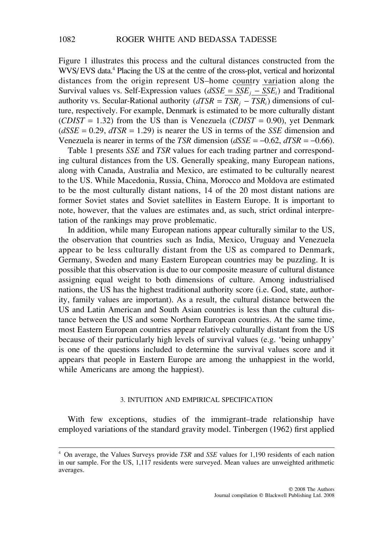Figure 1 illustrates this process and the cultural distances constructed from the WVS/EVS data.<sup>4</sup> Placing the US at the centre of the cross-plot, vertical and horizontal distances from the origin represent US–home country variation along the Survival values vs. Self-Expression values  $(dSSE = SSE_j - SSE_i)$  and Traditional authority vs. Secular-Rational authority  $(dTSR = TSR<sub>j</sub> - TSR<sub>i</sub>)$  dimensions of culture, respectively. For example, Denmark is estimated to be more culturally distant  $(CDIST = 1.32)$  from the US than is Venezuela  $(CDIST = 0.90)$ , yet Denmark  $(dSSE = 0.29, dTSR = 1.29)$  is nearer the US in terms of the *SSE* dimension and Venezuela is nearer in terms of the *TSR* dimension (*dSSE* = −0.62, *dTSR* = −0.66).

Table 1 presents *SSE* and *TSR* values for each trading partner and corresponding cultural distances from the US. Generally speaking, many European nations, along with Canada, Australia and Mexico, are estimated to be culturally nearest to the US. While Macedonia, Russia, China, Morocco and Moldova are estimated to be the most culturally distant nations, 14 of the 20 most distant nations are former Soviet states and Soviet satellites in Eastern Europe. It is important to note, however, that the values are estimates and, as such, strict ordinal interpretation of the rankings may prove problematic.

In addition, while many European nations appear culturally similar to the US, the observation that countries such as India, Mexico, Uruguay and Venezuela appear to be less culturally distant from the US as compared to Denmark, Germany, Sweden and many Eastern European countries may be puzzling. It is possible that this observation is due to our composite measure of cultural distance assigning equal weight to both dimensions of culture. Among industrialised nations, the US has the highest traditional authority score (i.e. God, state, authority, family values are important). As a result, the cultural distance between the US and Latin American and South Asian countries is less than the cultural distance between the US and some Northern European countries. At the same time, most Eastern European countries appear relatively culturally distant from the US because of their particularly high levels of survival values (e.g. 'being unhappy' is one of the questions included to determine the survival values score and it appears that people in Eastern Europe are among the unhappiest in the world, while Americans are among the happiest).

#### 3. INTUITION AND EMPIRICAL SPECIFICATION

With few exceptions, studies of the immigrant–trade relationship have employed variations of the standard gravity model. Tinbergen (1962) first applied

<sup>4</sup> On average, the Values Surveys provide *TSR* and *SSE* values for 1,190 residents of each nation in our sample. For the US, 1,117 residents were surveyed. Mean values are unweighted arithmetic averages.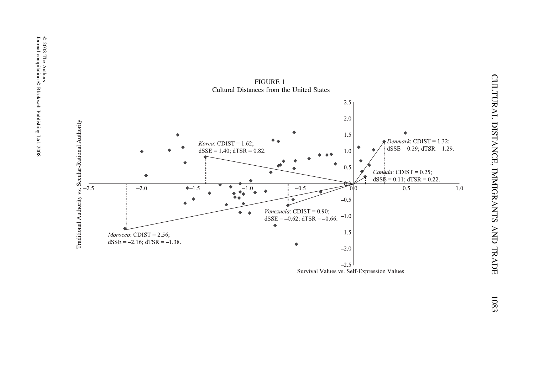

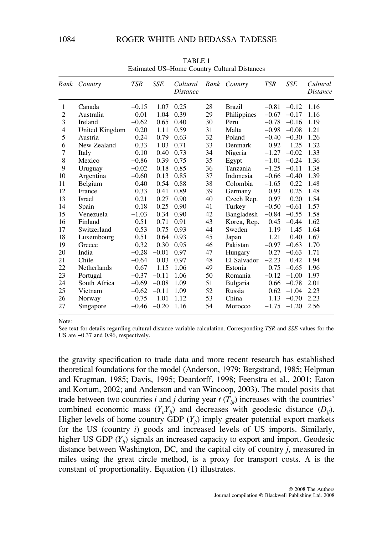|                | Rank Country   | <b>TSR</b> | <b>SSE</b> | Cultural<br>Distance |    | Rank Country  | <b>TSR</b> | <b>SSE</b> | Cultural<br><i>Distance</i> |
|----------------|----------------|------------|------------|----------------------|----|---------------|------------|------------|-----------------------------|
| 1              | Canada         | $-0.15$    | 1.07       | 0.25                 | 28 | <b>Brazil</b> | $-0.81$    | $-0.12$    | 1.16                        |
| $\overline{c}$ | Australia      | 0.01       | 1.04       | 0.39                 | 29 | Philippines   | $-0.67$    | $-0.17$    | 1.16                        |
| 3              | Ireland        | $-0.62$    | 0.65       | 0.40                 | 30 | Peru          | $-0.78$    | $-0.16$    | 1.19                        |
| 4              | United Kingdom | 0.20       | 1.11       | 0.59                 | 31 | Malta         | $-0.98$    | $-0.08$    | 1.21                        |
| 5              | Austria        | 0.24       | 0.79       | 0.63                 | 32 | Poland        | $-0.40$    | $-0.30$    | 1.26                        |
| 6              | New Zealand    | 0.33       | 1.03       | 0.71                 | 33 | Denmark       | 0.92       | 1.25       | 1.32                        |
| 7              | Italy          | 0.10       | 0.40       | 0.73                 | 34 | Nigeria       | $-1.27$    | $-0.02$    | 1.33                        |
| 8              | Mexico         | $-0.86$    | 0.39       | 0.75                 | 35 | Egypt         | $-1.01$    | $-0.24$    | 1.36                        |
| 9              | Uruguay        | $-0.02$    | 0.18       | 0.85                 | 36 | Tanzania      | $-1.25$    | $-0.11$    | 1.38                        |
| 10             | Argentina      | $-0.60$    | 0.13       | 0.85                 | 37 | Indonesia     | $-0.66$    | $-0.40$    | 1.39                        |
| 11             | Belgium        | 0.40       | 0.54       | 0.88                 | 38 | Colombia      | $-1.65$    | 0.22       | 1.48                        |
| 12             | France         | 0.33       | 0.41       | 0.89                 | 39 | Germany       | 0.93       | 0.25       | 1.48                        |
| 13             | <b>Israel</b>  | 0.21       | 0.27       | 0.90                 | 40 | Czech Rep.    | 0.97       | 0.20       | 1.54                        |
| 14             | Spain          | 0.18       | 0.25       | 0.90                 | 41 | Turkey        | $-0.50$    | $-0.61$    | 1.57                        |
| 15             | Venezuela      | $-1.03$    | 0.34       | 0.90                 | 42 | Bangladesh    | $-0.84$    | $-0.55$    | 1.58                        |
| 16             | Finland        | 0.51       | 0.71       | 0.91                 | 43 | Korea, Rep.   | 0.45       | $-0.44$    | 1.62                        |
| 17             | Switzerland    | 0.53       | 0.75       | 0.93                 | 44 | Sweden        | 1.19       | 1.45       | 1.64                        |
| 18             | Luxembourg     | 0.51       | 0.64       | 0.93                 | 45 | Japan         | 1.21       | 0.40       | 1.67                        |
| 19             | Greece         | 0.32       | 0.30       | 0.95                 | 46 | Pakistan      | $-0.97$    | $-0.63$    | 1.70                        |
| 20             | India          | $-0.28$    | $-0.01$    | 0.97                 | 47 | Hungary       | 0.27       | $-0.63$    | 1.71                        |
| 21             | Chile          | $-0.64$    | 0.03       | 0.97                 | 48 | El Salvador   | $-2.23$    | 0.42       | 1.94                        |
| 22             | Netherlands    | 0.67       | 1.15       | 1.06                 | 49 | Estonia       | 0.75       | $-0.65$    | 1.96                        |
| 23             | Portugal       | $-0.37$    | $-0.11$    | 1.06                 | 50 | Romania       | $-0.12$    | $-1.00$    | 1.97                        |
| 24             | South Africa   | $-0.69$    | $-0.08$    | 1.09                 | 51 | Bulgaria      | 0.66       | $-0.78$    | 2.01                        |
| 25             | Vietnam        | $-0.62$    | $-0.11$    | 1.09                 | 52 | Russia        | 0.62       | $-1.04$    | 2.23                        |
| 26             | Norway         | 0.75       | 1.01       | 1.12                 | 53 | China         | 1.13       | $-0.70$    | 2.23                        |
| 27             | Singapore      | $-0.46$    | $-0.20$    | 1.16                 | 54 | Morocco       | $-1.75$    | $-1.20$    | 2.56                        |

TABLE 1 Estimated US–Home Country Cultural Distances

Note:

See text for details regarding cultural distance variable calculation. Corresponding *TSR* and *SSE* values for the US are −0.37 and 0.96, respectively.

the gravity specification to trade data and more recent research has established theoretical foundations for the model (Anderson, 1979; Bergstrand, 1985; Helpman and Krugman, 1985; Davis, 1995; Deardorff, 1998; Feenstra et al., 2001; Eaton and Kortum, 2002; and Anderson and van Wincoop, 2003). The model posits that trade between two countries *i* and *j* during year  $t(T_{ijt})$  increases with the countries' combined economic mass  $(Y_i, Y_j)$  and decreases with geodesic distance  $(D_{ij})$ . Higher levels of home country GDP  $(Y_{ij})$  imply greater potential export markets for the US (country *i*) goods and increased levels of US imports. Similarly, higher US GDP  $(Y_{ii})$  signals an increased capacity to export and import. Geodesic distance between Washington, DC, and the capital city of country *j*, measured in miles using the great circle method, is a proxy for transport costs.  $\Lambda$  is the constant of proportionality. Equation (1) illustrates.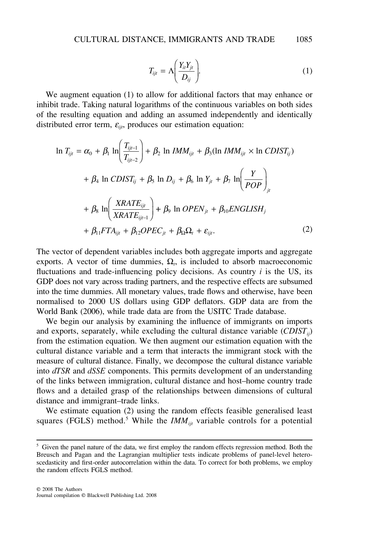$$
T_{ijt} = \Lambda \left( \frac{Y_{it} Y_{jt}}{D_{ij}} \right). \tag{1}
$$

We augment equation (1) to allow for additional factors that may enhance or inhibit trade. Taking natural logarithms of the continuous variables on both sides of the resulting equation and adding an assumed independently and identically distributed error term,  $\varepsilon_{ij}$ , produces our estimation equation:

$$
\ln T_{ijt} = \alpha_0 + \beta_1 \ln \left( \frac{T_{ijt-1}}{T_{ijt-2}} \right) + \beta_2 \ln IMM_{ijt} + \beta_3 (\ln IMM_{ijt} \times \ln CDIST_{ij})
$$
  
+  $\beta_4 \ln CDIST_{ij} + \beta_5 \ln D_{ij} + \beta_6 \ln Y_{jt} + \beta_7 \ln \left( \frac{Y}{POP} \right)_{jt}$   
+  $\beta_8 \ln \left( \frac{XRATE_{ijt}}{XRATE_{ijt-1}} \right) + \beta_9 \ln OPEN_{jt} + \beta_{10} ENGLISH_j$   
+  $\beta_{11}FTA_{ijt} + \beta_{12} OPEC_{jt} + \beta_{\Omega} \Omega_t + \varepsilon_{ijt}$ . (2)

The vector of dependent variables includes both aggregate imports and aggregate exports. A vector of time dummies,  $\Omega_i$ , is included to absorb macroeconomic fluctuations and trade-influencing policy decisions. As country *i* is the US, its GDP does not vary across trading partners, and the respective effects are subsumed into the time dummies. All monetary values, trade flows and otherwise, have been normalised to 2000 US dollars using GDP deflators. GDP data are from the World Bank (2006), while trade data are from the USITC Trade database.

We begin our analysis by examining the influence of immigrants on imports and exports, separately, while excluding the cultural distance variable  $(CDIST_{ii})$ from the estimation equation. We then augment our estimation equation with the cultural distance variable and a term that interacts the immigrant stock with the measure of cultural distance. Finally, we decompose the cultural distance variable into *dTSR* and *dSSE* components. This permits development of an understanding of the links between immigration, cultural distance and host–home country trade flows and a detailed grasp of the relationships between dimensions of cultural distance and immigrant–trade links.

We estimate equation (2) using the random effects feasible generalised least squares (FGLS) method.<sup>5</sup> While the  $IMM_{ijt}$  variable controls for a potential

<sup>&</sup>lt;sup>5</sup> Given the panel nature of the data, we first employ the random effects regression method. Both the Breusch and Pagan and the Lagrangian multiplier tests indicate problems of panel-level heteroscedasticity and first-order autocorrelation within the data. To correct for both problems, we employ the random effects FGLS method.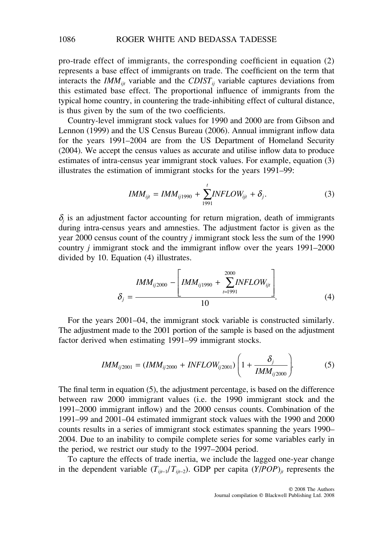pro-trade effect of immigrants, the corresponding coefficient in equation (2) represents a base effect of immigrants on trade. The coefficient on the term that interacts the  $IMM_{ijt}$  variable and the  $CDIST_{ij}$  variable captures deviations from this estimated base effect. The proportional influence of immigrants from the typical home country, in countering the trade-inhibiting effect of cultural distance, is thus given by the sum of the two coefficients.

Country-level immigrant stock values for 1990 and 2000 are from Gibson and Lennon (1999) and the US Census Bureau (2006). Annual immigrant inflow data for the years 1991–2004 are from the US Department of Homeland Security (2004). We accept the census values as accurate and utilise inflow data to produce estimates of intra-census year immigrant stock values. For example, equation (3) illustrates the estimation of immigrant stocks for the years 1991–99:

$$
IMM_{ijt} = IMM_{ij1990} + \sum_{1991}^{t} INFLOW_{ijt} + \delta_j.
$$
 (3)

 $\delta_j$  is an adjustment factor accounting for return migration, death of immigrants during intra-census years and amnesties. The adjustment factor is given as the year 2000 census count of the country *j* immigrant stock less the sum of the 1990 country *j* immigrant stock and the immigrant inflow over the years 1991–2000 divided by 10. Equation (4) illustrates.

$$
\delta_j = \frac{IMM_{ij2000} - \left[IMM_{ij1990} + \sum_{t=1991}^{2000} INFLOW_{ijt} \right]}{10}
$$
(4)

For the years 2001–04, the immigrant stock variable is constructed similarly. The adjustment made to the 2001 portion of the sample is based on the adjustment factor derived when estimating 1991–99 immigrant stocks.

$$
IMM_{ij2001} = (IMM_{ij2000} + INFLOW_{ij2001}) \left(1 + \frac{\delta_j}{IMM_{ij2000}}\right).
$$
 (5)

The final term in equation (5), the adjustment percentage, is based on the difference between raw 2000 immigrant values (i.e. the 1990 immigrant stock and the 1991–2000 immigrant inflow) and the 2000 census counts. Combination of the 1991–99 and 2001–04 estimated immigrant stock values with the 1990 and 2000 counts results in a series of immigrant stock estimates spanning the years 1990– 2004. Due to an inability to compile complete series for some variables early in the period, we restrict our study to the 1997–2004 period.

To capture the effects of trade inertia, we include the lagged one-year change in the dependent variable  $(T_{ijt-1}/T_{ijt-2})$ . GDP per capita  $(Y/POP)_{it}$  represents the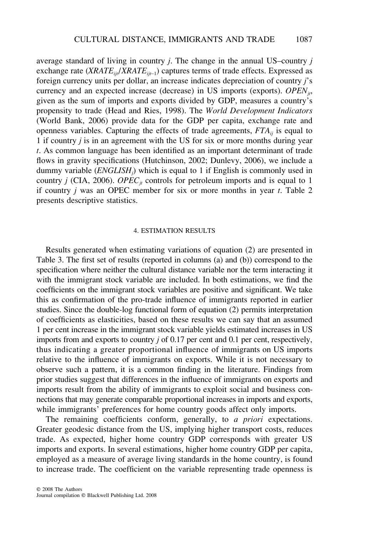average standard of living in country *j*. The change in the annual US–country *j* exchange rate (*XRATE<sub>ijt</sub>*/*XRATE*<sub>*ijt*−1</sub>) captures terms of trade effects. Expressed as foreign currency units per dollar, an increase indicates depreciation of country *j*'s currency and an expected increase (decrease) in US imports (exports). *OPEN<sub>it</sub>*, given as the sum of imports and exports divided by GDP, measures a country's propensity to trade (Head and Ries, 1998). The *World Development Indicators* (World Bank, 2006) provide data for the GDP per capita, exchange rate and openness variables. Capturing the effects of trade agreements,  $FTA_{ji}$  is equal to 1 if country *j* is in an agreement with the US for six or more months during year *t*. As common language has been identified as an important determinant of trade flows in gravity specifications (Hutchinson, 2002; Dunlevy, 2006), we include a dummy variable (*ENGLISHj* ) which is equal to 1 if English is commonly used in country *j* (CIA, 2006). *OPEC<sub>it</sub>* controls for petroleum imports and is equal to 1 if country *j* was an OPEC member for six or more months in year *t*. Table 2 presents descriptive statistics.

#### 4. ESTIMATION RESULTS

Results generated when estimating variations of equation (2) are presented in Table 3. The first set of results (reported in columns (a) and (b)) correspond to the specification where neither the cultural distance variable nor the term interacting it with the immigrant stock variable are included. In both estimations, we find the coefficients on the immigrant stock variables are positive and significant. We take this as confirmation of the pro-trade influence of immigrants reported in earlier studies. Since the double-log functional form of equation (2) permits interpretation of coefficients as elasticities, based on these results we can say that an assumed 1 per cent increase in the immigrant stock variable yields estimated increases in US imports from and exports to country *j* of 0.17 per cent and 0.1 per cent, respectively, thus indicating a greater proportional influence of immigrants on US imports relative to the influence of immigrants on exports. While it is not necessary to observe such a pattern, it is a common finding in the literature. Findings from prior studies suggest that differences in the influence of immigrants on exports and imports result from the ability of immigrants to exploit social and business connections that may generate comparable proportional increases in imports and exports, while immigrants' preferences for home country goods affect only imports.

The remaining coefficients conform, generally, to *a priori* expectations. Greater geodesic distance from the US, implying higher transport costs, reduces trade. As expected, higher home country GDP corresponds with greater US imports and exports. In several estimations, higher home country GDP per capita, employed as a measure of average living standards in the home country, is found to increase trade. The coefficient on the variable representing trade openness is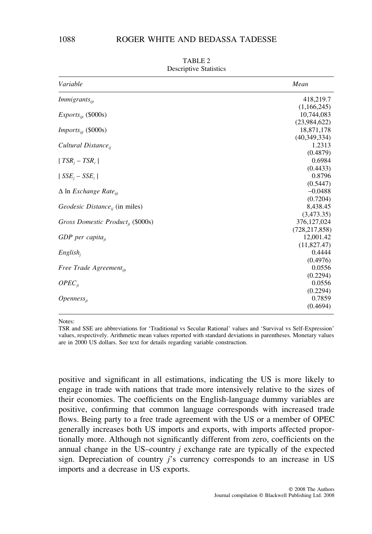#### 1088 ROGER WHITE AND BEDASSA TADESSE

| Variable                                       | Mean            |
|------------------------------------------------|-----------------|
| $Immigrants_{ii}$                              | 418,219.7       |
|                                                | (1,166,245)     |
| $Express_{ii}$ (\$000s)                        | 10,744,083      |
|                                                | (23,984,622)    |
| <i>Imports<sub>it</sub></i> (\$000s)           | 18,871,178      |
|                                                | (40, 349, 334)  |
| Cultural Distance <sub>ii</sub>                | 1.2313          |
|                                                | (0.4879)        |
| $ TSR_i - TSR_i $                              | 0.6984          |
|                                                | (0.4433)        |
| $ SSE_i - SSE_i $                              | 0.8796          |
|                                                | (0.5447)        |
| $\Delta$ ln <i>Exchange Rate<sub>ijt</sub></i> | $-0.0488$       |
|                                                | (0.7204)        |
| Geodesic Distance <sub>ii</sub> (in miles)     | 8,438.45        |
|                                                | (3,473,35)      |
| Gross Domestic Product <sub>it</sub> (\$000s)  | 376,127,024     |
|                                                | (728, 217, 858) |
| GDP per capita <sub>it</sub>                   | 12,001.42       |
|                                                | (11,827.47)     |
| $English_i$                                    | 0.4444          |
|                                                | (0.4976)        |
| Free Trade Agreement <sub>iit</sub>            | 0.0556          |
|                                                | (0.2294)        |
| $OPEC_{it}$                                    | 0.0556          |
|                                                | (0.2294)        |
| $\Omega$ penness <sub>it</sub>                 | 0.7859          |
|                                                | (0.4694)        |

TABLE 2 Descriptive Statistics

Notes:

TSR and SSE are abbreviations for 'Traditional vs Secular Rational' values and 'Survival vs Self-Expression' values, respectively. Arithmetic mean values reported with standard deviations in parentheses. Monetary values are in 2000 US dollars. See text for details regarding variable construction.

positive and significant in all estimations, indicating the US is more likely to engage in trade with nations that trade more intensively relative to the sizes of their economies. The coefficients on the English-language dummy variables are positive, confirming that common language corresponds with increased trade flows. Being party to a free trade agreement with the US or a member of OPEC generally increases both US imports and exports, with imports affected proportionally more. Although not significantly different from zero, coefficients on the annual change in the US–country *j* exchange rate are typically of the expected sign. Depreciation of country *j*'s currency corresponds to an increase in US imports and a decrease in US exports.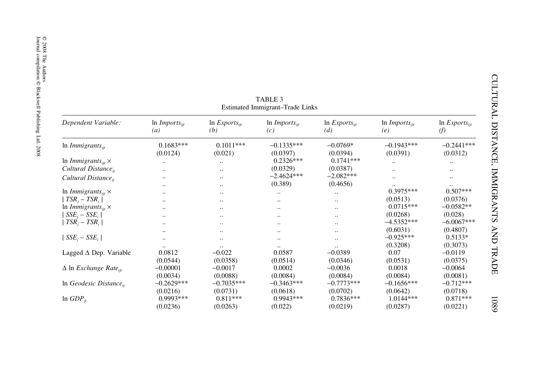| Dependent Variable:                          | $ln$ <i>Imports</i> <sub>iit</sub><br>$\left(a\right)$ | $\ln$ <i>Exports<sub>ijt</sub></i><br>(b) | $ln$ Imports <sub>ijt</sub><br>(c) | $\ln$ <i>Exports<sub>ijt</sub></i><br>(d) | $ln$ Imports <sub>ijt</sub><br>(e) | $\ln$ <i>Exports</i> <sub>ijt</sub><br>(f) |
|----------------------------------------------|--------------------------------------------------------|-------------------------------------------|------------------------------------|-------------------------------------------|------------------------------------|--------------------------------------------|
| $\ln$ Immigrants <sub>iit</sub>              | $0.1683***$                                            | $0.1011***$                               | $-0.1335***$                       | $-0.0769*$                                | $-0.1943***$                       | $-0.2441***$                               |
|                                              | (0.0124)                                               | (0.021)                                   | (0.0397)                           | (0.0394)                                  | (0.0391)                           | (0.0312)                                   |
| In <i>Immigrants</i> <sub>ijt</sub> $\times$ | $\cdot\cdot$                                           | $\cdot\cdot$                              | $0.2326***$                        | $0.1741***$                               | $\ddotsc$                          | $\cdot\cdot$                               |
| Cultural Distance <sub>ii</sub>              | $\cdot\cdot$                                           | $\bullet$ .                               | (0.0329)                           | (0.0387)                                  | $\ddotsc$                          | $\ddotsc$                                  |
| Cultural Distance <sub>ii</sub>              |                                                        | $\bullet$ .                               | $-2.4624***$                       | $-2.082***$                               | $\ddotsc$                          | $\ddotsc$                                  |
|                                              | $\bullet$ .                                            | $\bullet$ .                               | (0.389)                            | (0.4656)                                  | $\ddotsc$                          | $\ddotsc$                                  |
| In <i>Immigrants</i> <sub>ijt</sub> $\times$ | $\bullet$ $\bullet$                                    | $\bullet$ .                               | $\bullet\bullet$                   | $\ddotsc$                                 | $0.3975***$                        | $0.507***$                                 |
| $ TSR_i - TSR_i $                            | $\bullet$ $\bullet$                                    | $\bullet$ .                               | $\bullet$ .                        | $\ddotsc$                                 | (0.0513)                           | (0.0376)                                   |
| In <i>Immigrants</i> <sub>ijt</sub> $\times$ | $\bullet$ $\bullet$                                    | $\cdot\cdot$                              | $\bullet$ .                        | $\ddotsc$                                 | $0.0715***$                        | $-0.0582**$                                |
| $ SSE_i - SSE_i $                            | $\bullet$ $\bullet$                                    | $\bullet$ .                               | $\bullet$ .                        | $\ddotsc$                                 | (0.0268)                           | (0.028)                                    |
| $TSR_i - TSR_i$                              | $\bullet$ $\bullet$                                    | $\bullet$ .                               | $\bullet$ .                        | $\ddotsc$                                 | $-4.5352***$                       | $-6.0067***$                               |
|                                              | $\bullet$ .                                            | $\bullet$ .                               |                                    | $\ddotsc$                                 | (0.6031)                           | (0.4807)                                   |
| $ SSE_i - SSE_i $                            | $\cdot\cdot$                                           | $\ddotsc$                                 | $\ddotsc$                          |                                           | $-0.925***$                        | $0.5133*$                                  |
|                                              |                                                        |                                           |                                    |                                           | (0.3208)                           | (0.3073)                                   |
| Lagged $\Delta$ Dep. Variable                | 0.0812                                                 | $-0.022$                                  | 0.0587                             | $-0.0389$                                 | 0.07                               | $-0.0119$                                  |
|                                              | (0.0544)                                               | (0.0358)                                  | (0.0514)                           | (0.0346)                                  | (0.0531)                           | (0.0375)                                   |
| $\Delta$ ln Exchange Rate <sub>ijt</sub>     | $-0.00001$                                             | $-0.0017$                                 | 0.0002                             | $-0.0036$                                 | 0.0018                             | $-0.0064$                                  |
|                                              | (0.0034)                                               | (0.0088)                                  | (0.0084)                           | (0.0084)                                  | (0.0084)                           | (0.0081)                                   |
| In Geodesic Distance <sub>ii</sub>           | $-0.2629***$                                           | $-0.7035***$                              | $-0.3463***$                       | $-0.7773***$                              | $-0.1656***$                       | $-0.712***$                                |
|                                              | (0.0216)                                               | (0.0731)                                  | (0.0618)                           | (0.0702)                                  | (0.0642)                           | (0.0718)                                   |
| $ln GDP_{jt}$                                | 0.9993***                                              | $0.811***$                                | $0.9943***$                        | $0.7836***$                               | $1.0144***$                        | $0.871***$                                 |
|                                              | (0.0236)                                               | (0.0263)                                  | (0.022)                            | (0.0219)                                  | (0.0287)                           | (0.0221)                                   |

| TABLE 3                         |
|---------------------------------|
| Estimated Immigrant–Trade Links |

6801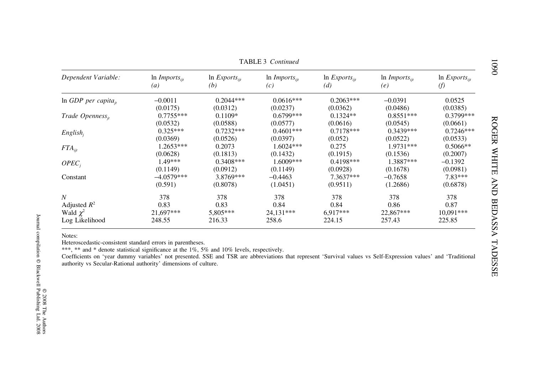|                              | <b>TABLE 3 Continued</b>           |                                     |                                    |                                     |                                    |                                    |  |  |
|------------------------------|------------------------------------|-------------------------------------|------------------------------------|-------------------------------------|------------------------------------|------------------------------------|--|--|
| Dependent Variable:          | $ln$ <i>Imports</i> <sub>iit</sub> | $\ln$ <i>Exports</i> <sub>iit</sub> | $ln$ <i>Imports</i> <sub>iit</sub> | $\ln$ <i>Exports</i> <sub>ijt</sub> | $ln$ <i>Imports</i> <sub>iit</sub> | $\ln$ <i>Exports<sub>iit</sub></i> |  |  |
|                              | $\left(a\right)$                   | (b)                                 | (c)                                | (d)                                 | (e)                                | (f)                                |  |  |
| In GDP per capita $_{it}$    | $-0.0011$                          | $0.2044***$                         | $0.0616***$                        | $0.2063***$                         | $-0.0391$                          | 0.0525                             |  |  |
|                              | (0.0175)                           | (0.0312)                            | (0.0237)                           | (0.0362)                            | (0.0486)                           | (0.0385)                           |  |  |
| Trade Openness <sub>it</sub> | $0.7755***$                        | $0.1109*$                           | $0.6799***$                        | $0.1324**$                          | $0.8551***$                        | $0.3799***$                        |  |  |
|                              | (0.0532)                           | (0.0588)                            | (0.0577)                           | (0.0616)                            | (0.0545)                           | (0.0661)                           |  |  |
| $English_i$                  | $0.325***$                         | $0.7232***$                         | $0.4601***$                        | $0.7178***$                         | $0.3439***$                        | $0.7246***$                        |  |  |
|                              | (0.0369)                           | (0.0526)                            | (0.0397)                           | (0.052)                             | (0.0522)                           | (0.0533)                           |  |  |
| $FTA_{ii}$                   | $1.2653***$                        | 0.2073                              | 1.6024***                          | 0.275                               | 1.9731***                          | $0.5066**$                         |  |  |
|                              | (0.0628)                           | (0.1813)                            | (0.1432)                           | (0.1915)                            | (0.1536)                           | (0.2007)                           |  |  |
| $OPEC_i$                     | 1.49***                            | $0.3408***$                         | 1.6009***                          | $0.4198***$                         | 1.3887***                          | $-0.1392$                          |  |  |
|                              | (0.1149)                           | (0.0912)                            | (0.1149)                           | (0.0928)                            | (0.1678)                           | (0.0981)                           |  |  |
| Constant                     | $-4.0579***$                       | 3.8769***                           | $-0.4463$                          | $7.3637***$                         | $-0.7658$                          | $7.83***$                          |  |  |
|                              | (0.591)                            | (0.8078)                            | (1.0451)                           | (0.9511)                            | (1.2686)                           | (0.6878)                           |  |  |
| $\boldsymbol{N}$             | 378                                | 378                                 | 378                                | 378                                 | 378                                | 378                                |  |  |
| Adjusted $R^2$               | 0.83                               | 0.83                                | 0.84                               | 0.84                                | 0.86                               | 0.87                               |  |  |
| Wald $\chi^2$                | $21,697***$                        | 5,805***                            | $24,131***$                        | $6,917***$                          | 22,867***                          | $10,091***$                        |  |  |
| Log Likelihood               | 248.55                             | 216.33                              | 258.6                              | 224.15                              | 257.43                             | 225.85                             |  |  |

Heteroscedastic-consistent standard errors in parentheses.

\*\*\*, \*\* and \* denote statistical significance at the 1%, 5% and 10% levels, respectively.

Coefficients on 'year dummy variables' not presented. SSE and TSR are abbreviations that represent 'Survival values vs Self-Expression values' and 'Traditional authority vs Secular-Rational authority' dimensions of culture.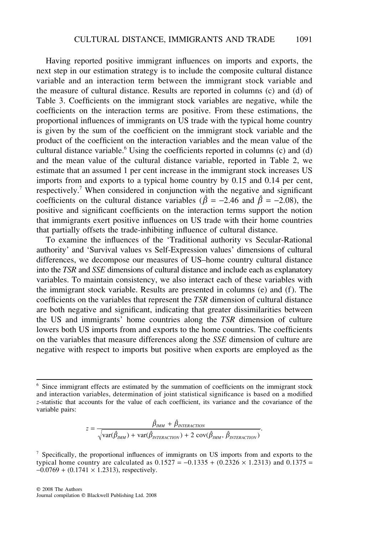Having reported positive immigrant influences on imports and exports, the next step in our estimation strategy is to include the composite cultural distance variable and an interaction term between the immigrant stock variable and the measure of cultural distance. Results are reported in columns (c) and (d) of Table 3. Coefficients on the immigrant stock variables are negative, while the coefficients on the interaction terms are positive. From these estimations, the proportional influences of immigrants on US trade with the typical home country is given by the sum of the coefficient on the immigrant stock variable and the product of the coefficient on the interaction variables and the mean value of the cultural distance variable.<sup>6</sup> Using the coefficients reported in columns (c) and (d) and the mean value of the cultural distance variable, reported in Table 2, we estimate that an assumed 1 per cent increase in the immigrant stock increases US imports from and exports to a typical home country by 0.15 and 0.14 per cent, respectively.<sup>7</sup> When considered in conjunction with the negative and significant coefficients on the cultural distance variables ( $\hat{\beta} = -2.46$  and  $\hat{\beta} = -2.08$ ), the positive and significant coefficients on the interaction terms support the notion that immigrants exert positive influences on US trade with their home countries that partially offsets the trade-inhibiting influence of cultural distance.

To examine the influences of the 'Traditional authority vs Secular-Rational authority' and 'Survival values vs Self-Expression values' dimensions of cultural differences, we decompose our measures of US–home country cultural distance into the *TSR* and *SSE* dimensions of cultural distance and include each as explanatory variables. To maintain consistency, we also interact each of these variables with the immigrant stock variable. Results are presented in columns (e) and (f). The coefficients on the variables that represent the *TSR* dimension of cultural distance are both negative and significant, indicating that greater dissimilarities between the US and immigrants' home countries along the *TSR* dimension of culture lowers both US imports from and exports to the home countries. The coefficients on the variables that measure differences along the *SSE* dimension of culture are negative with respect to imports but positive when exports are employed as the

$$
z = \frac{\hat{\beta}_{IMM} + \hat{\beta}_{INTERATION}}{\sqrt{\text{var}(\hat{\beta}_{IMM}) + \text{var}(\hat{\beta}_{INTERATION}) + 2 \text{cov}(\hat{\beta}_{IMM}, \hat{\beta}_{INTERATION})}}.
$$

<sup>&</sup>lt;sup>6</sup> Since immigrant effects are estimated by the summation of coefficients on the immigrant stock and interaction variables, determination of joint statistical significance is based on a modified *z*-statistic that accounts for the value of each coefficient, its variance and the covariance of the variable pairs:

 $7$  Specifically, the proportional influences of immigrants on US imports from and exports to the typical home country are calculated as  $0.1527 = -0.1335 + (0.2326 \times 1.2313)$  and  $0.1375 =$  $-0.0769 + (0.1741 \times 1.2313)$ , respectively.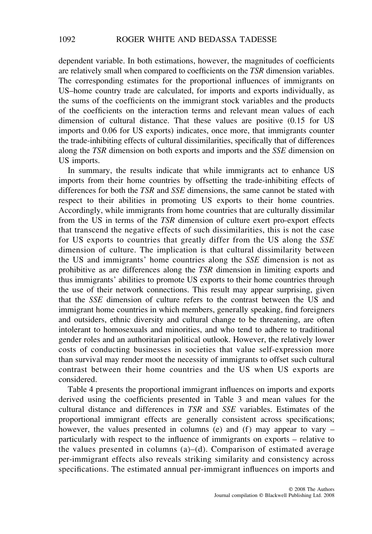dependent variable. In both estimations, however, the magnitudes of coefficients are relatively small when compared to coefficients on the *TSR* dimension variables. The corresponding estimates for the proportional influences of immigrants on US–home country trade are calculated, for imports and exports individually, as the sums of the coefficients on the immigrant stock variables and the products of the coefficients on the interaction terms and relevant mean values of each dimension of cultural distance. That these values are positive (0.15 for US imports and 0.06 for US exports) indicates, once more, that immigrants counter the trade-inhibiting effects of cultural dissimilarities, specifically that of differences along the *TSR* dimension on both exports and imports and the *SSE* dimension on US imports.

In summary, the results indicate that while immigrants act to enhance US imports from their home countries by offsetting the trade-inhibiting effects of differences for both the *TSR* and *SSE* dimensions, the same cannot be stated with respect to their abilities in promoting US exports to their home countries. Accordingly, while immigrants from home countries that are culturally dissimilar from the US in terms of the *TSR* dimension of culture exert pro-export effects that transcend the negative effects of such dissimilarities, this is not the case for US exports to countries that greatly differ from the US along the *SSE* dimension of culture. The implication is that cultural dissimilarity between the US and immigrants' home countries along the *SSE* dimension is not as prohibitive as are differences along the *TSR* dimension in limiting exports and thus immigrants' abilities to promote US exports to their home countries through the use of their network connections. This result may appear surprising, given that the *SSE* dimension of culture refers to the contrast between the US and immigrant home countries in which members, generally speaking, find foreigners and outsiders, ethnic diversity and cultural change to be threatening, are often intolerant to homosexuals and minorities, and who tend to adhere to traditional gender roles and an authoritarian political outlook. However, the relatively lower costs of conducting businesses in societies that value self-expression more than survival may render moot the necessity of immigrants to offset such cultural contrast between their home countries and the US when US exports are considered.

Table 4 presents the proportional immigrant influences on imports and exports derived using the coefficients presented in Table 3 and mean values for the cultural distance and differences in *TSR* and *SSE* variables. Estimates of the proportional immigrant effects are generally consistent across specifications; however, the values presented in columns (e) and (f) may appear to vary – particularly with respect to the influence of immigrants on exports – relative to the values presented in columns  $(a)$ – $(d)$ . Comparison of estimated average per-immigrant effects also reveals striking similarity and consistency across specifications. The estimated annual per-immigrant influences on imports and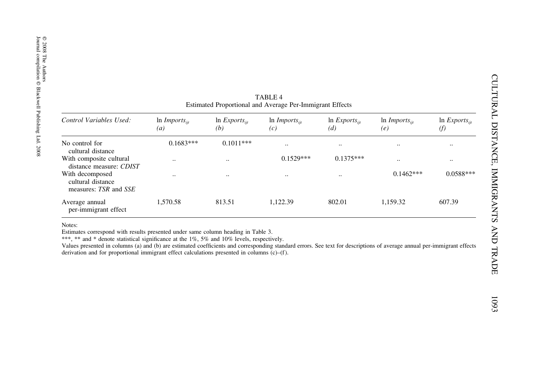| Control Variables Used:                                       | $ln$ <i>Imports</i> <sub>iit</sub><br>$\left(a\right)$ | $\ln$ <i>Exports</i> <sub>iit</sub><br>(b) | $ln$ <i>Imports</i> <sub>iit</sub><br>(c) | $\ln$ <i>Exports</i> <sub>iit</sub><br>(d) | $ln$ <i>Imports</i> <sub>iit</sub><br>(e) | $\ln$ <i>Exports</i> <sub>iit</sub><br>(f) |
|---------------------------------------------------------------|--------------------------------------------------------|--------------------------------------------|-------------------------------------------|--------------------------------------------|-------------------------------------------|--------------------------------------------|
| No control for<br>cultural distance                           | $0.1683***$                                            | $0.1011***$                                | $\ddot{\phantom{0}}$                      | $\cdot \cdot$                              | $\cdot \cdot$                             | $\cdot \cdot$                              |
| With composite cultural<br>distance measure: CDIST            |                                                        | $\cdot \cdot$                              | $0.1529***$                               | $0.1375***$                                | $\ddotsc$                                 |                                            |
| With decomposed<br>cultural distance<br>measures: TSR and SSE | $\cdot \cdot$                                          | $\cdot \cdot$                              | $\ddotsc$                                 | $\ddot{\phantom{0}}$                       | $0.1462***$                               | $0.0588***$                                |
| Average annual<br>per-immigrant effect                        | 1.570.58                                               | 813.51                                     | 1,122.39                                  | 802.01                                     | 1,159.32                                  | 607.39                                     |

|                                                                 | TABLE <sub>4</sub> |  |
|-----------------------------------------------------------------|--------------------|--|
| <b>Estimated Proportional and Average Per-Immigrant Effects</b> |                    |  |

Notes:

Estimates correspond with results presented under same column heading in Table 3.

 $***$ ,  $**$  and  $*$  denote statistical significance at the  $1\%$ ,  $5\%$  and  $10\%$  levels, respectively.

Values presented in columns (a) and (b) are estimated coefficients and corresponding standard errors. See text for descriptions of average annual per-immigrant effects derivation and for proportional immigrant effect calculations presented in columns (c)–(f).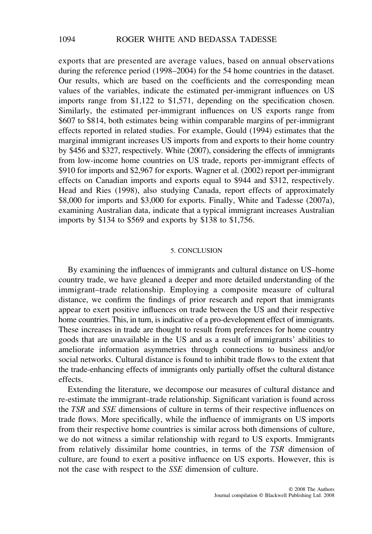exports that are presented are average values, based on annual observations during the reference period (1998–2004) for the 54 home countries in the dataset. Our results, which are based on the coefficients and the corresponding mean values of the variables, indicate the estimated per-immigrant influences on US imports range from \$1,122 to \$1,571, depending on the specification chosen. Similarly, the estimated per-immigrant influences on US exports range from \$607 to \$814, both estimates being within comparable margins of per-immigrant effects reported in related studies. For example, Gould (1994) estimates that the marginal immigrant increases US imports from and exports to their home country by \$456 and \$327, respectively. White (2007), considering the effects of immigrants from low-income home countries on US trade, reports per-immigrant effects of \$910 for imports and \$2,967 for exports. Wagner et al. (2002) report per-immigrant effects on Canadian imports and exports equal to \$944 and \$312, respectively. Head and Ries (1998), also studying Canada, report effects of approximately \$8,000 for imports and \$3,000 for exports. Finally, White and Tadesse (2007a), examining Australian data, indicate that a typical immigrant increases Australian imports by \$134 to \$569 and exports by \$138 to \$1,756.

#### 5. CONCLUSION

By examining the influences of immigrants and cultural distance on US–home country trade, we have gleaned a deeper and more detailed understanding of the immigrant–trade relationship. Employing a composite measure of cultural distance, we confirm the findings of prior research and report that immigrants appear to exert positive influences on trade between the US and their respective home countries. This, in turn, is indicative of a pro-development effect of immigrants. These increases in trade are thought to result from preferences for home country goods that are unavailable in the US and as a result of immigrants' abilities to ameliorate information asymmetries through connections to business and/or social networks. Cultural distance is found to inhibit trade flows to the extent that the trade-enhancing effects of immigrants only partially offset the cultural distance effects.

Extending the literature, we decompose our measures of cultural distance and re-estimate the immigrant–trade relationship. Significant variation is found across the *TSR* and *SSE* dimensions of culture in terms of their respective influences on trade flows. More specifically, while the influence of immigrants on US imports from their respective home countries is similar across both dimensions of culture, we do not witness a similar relationship with regard to US exports. Immigrants from relatively dissimilar home countries, in terms of the *TSR* dimension of culture, are found to exert a positive influence on US exports. However, this is not the case with respect to the *SSE* dimension of culture.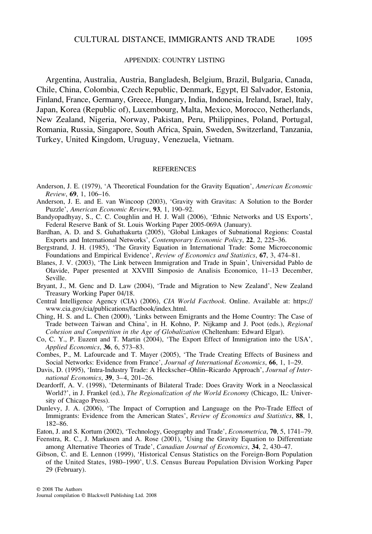#### APPENDIX: COUNTRY LISTING

Argentina, Australia, Austria, Bangladesh, Belgium, Brazil, Bulgaria, Canada, Chile, China, Colombia, Czech Republic, Denmark, Egypt, El Salvador, Estonia, Finland, France, Germany, Greece, Hungary, India, Indonesia, Ireland, Israel, Italy, Japan, Korea (Republic of), Luxembourg, Malta, Mexico, Morocco, Netherlands, New Zealand, Nigeria, Norway, Pakistan, Peru, Philippines, Poland, Portugal, Romania, Russia, Singapore, South Africa, Spain, Sweden, Switzerland, Tanzania, Turkey, United Kingdom, Uruguay, Venezuela, Vietnam.

#### **REFERENCES**

- Anderson, J. E. (1979), 'A Theoretical Foundation for the Gravity Equation', *American Economic Review*, **69**, 1, 106–16.
- Anderson, J. E. and E. van Wincoop (2003), 'Gravity with Gravitas: A Solution to the Border Puzzle', *American Economic Review*, **93**, 1, 190–92.
- Bandyopadhyay, S., C. C. Coughlin and H. J. Wall (2006), 'Ethnic Networks and US Exports', Federal Reserve Bank of St. Louis Working Paper 2005-069A (January).
- Bardhan, A. D. and S. Guhathakurta (2005), 'Global Linkages of Subnational Regions: Coastal Exports and International Networks', *Contemporary Economic Policy*, **22**, 2, 225–36.
- Bergstrand, J. H. (1985), 'The Gravity Equation in International Trade: Some Microeconomic Foundations and Empirical Evidence', *Review of Economics and Statistics*, **67**, 3, 474–81.
- Blanes, J. V. (2003), 'The Link between Immigration and Trade in Spain', Universidad Pablo de Olavide, Paper presented at XXVIII Simposio de Analisis Economico, 11–13 December, Seville.
- Bryant, J., M. Genc and D. Law (2004), 'Trade and Migration to New Zealand', New Zealand Treasury Working Paper 04/18.
- Central Intelligence Agency (CIA) (2006), *CIA World Factbook*. Online. Available at: https:// [www.cia.gov/cia/publications/factbook/index.html.](http://www.cia.gov/cia/publications/factbook/index.html)
- Ching, H. S. and L. Chen (2000), 'Links between Emigrants and the Home Country: The Case of Trade between Taiwan and China', in H. Kohno, P. Nijkamp and J. Poot (eds.), *Regional Cohesion and Competition in the Age of Globalization* (Cheltenham: Edward Elgar).
- Co, C. Y., P. Euzent and T. Martin (2004), 'The Export Effect of Immigration into the USA', *Applied Economics*, **36**, 6, 573–83.
- Combes, P., M. Lafourcade and T. Mayer (2005), 'The Trade Creating Effects of Business and Social Networks: Evidence from France', *Journal of International Economics*, **66**, 1, 1–29.
- Davis, D. (1995), 'Intra-Industry Trade: A Heckscher–Ohlin–Ricardo Approach', *Journal of International Economics*, **39**, 3–4, 201–26.
- Deardorff, A. V. (1998), 'Determinants of Bilateral Trade: Does Gravity Work in a Neoclassical World?', in J. Frankel (ed.), *The Regionalization of the World Economy* (Chicago, IL: University of Chicago Press).
- Dunlevy, J. A. (2006), 'The Impact of Corruption and Language on the Pro-Trade Effect of Immigrants: Evidence from the American States', *Review of Economics and Statistics*, **88**, 1, 182–86.
- Eaton, J. and S. Kortum (2002), 'Technology, Geography and Trade', *Econometrica*, **70**, 5, 1741–79.
- Feenstra, R. C., J. Markusen and A. Rose (2001), 'Using the Gravity Equation to Differentiate among Alternative Theories of Trade', *Canadian Journal of Economics*, **34**, 2, 430–47.
- Gibson, C. and E. Lennon (1999), 'Historical Census Statistics on the Foreign-Born Population of the United States, 1980–1990', U.S. Census Bureau Population Division Working Paper 29 (February).

© 2008 The Authors Journal compilation © Blackwell Publishing Ltd. 2008